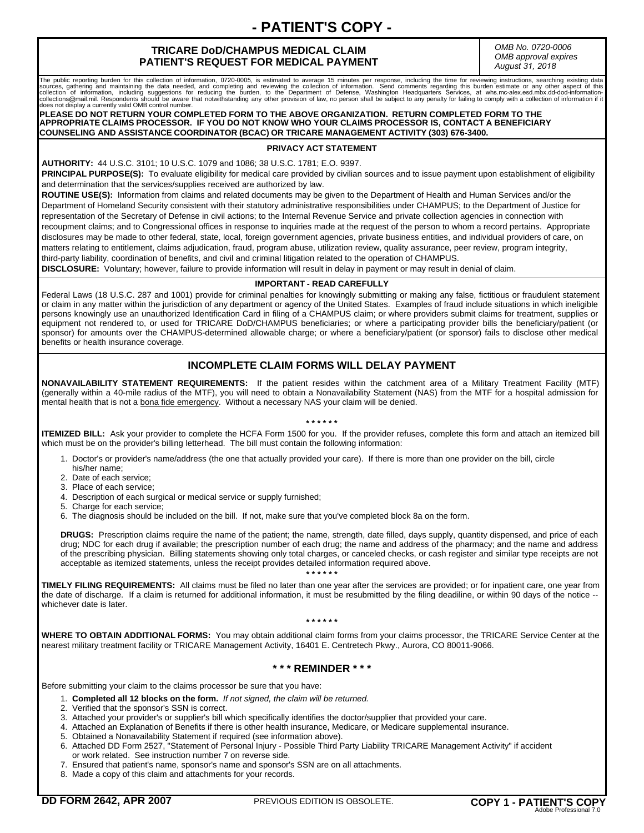# **- PATIENT'S COPY -**

### **TRICARE DoD/CHAMPUS MEDICAL CLAIM PATIENT'S REQUEST FOR MEDICAL PAYMENT**

*OMB No. 0720-0006 OMB approval expires August 31, 2018*

**PRIVACY ACT STATEMENT AUTHORITY:** 44 U.S.C. 3101; 10 U.S.C. 1079 and 1086; 38 U.S.C. 1781; E.O. 9397. PRINCIPAL PURPOSE(S): To evaluate eligibility for medical care provided by civilian sources and to issue payment upon establishment of eligibility and determination that the services/supplies received are authorized by law. The public reporting burden for this collection of information, 0720-0005, is estimated to average 15 minutes per response, including the time for reviewing instructions, searching existing data<br>sources, gathering and main does not display a currently valid OMB control number. **PLEASE DO NOT RETURN YOUR COMPLETED FORM TO THE ABOVE ORGANIZATION. RETURN COMPLETED FORM TO THE APPROPRIATE CLAIMS PROCESSOR. IF YOU DO NOT KNOW WHO YOUR CLAIMS PROCESSOR IS, CONTACT A BENEFICIARY COUNSELING AND ASSISTANCE COORDINATOR (BCAC) OR TRICARE MANAGEMENT ACTIVITY (303) 676-3400.**

**ROUTINE USE(S):** Information from claims and related documents may be given to the Department of Health and Human Services and/or the Department of Homeland Security consistent with their statutory administrative responsibilities under CHAMPUS; to the Department of Justice for representation of the Secretary of Defense in civil actions; to the Internal Revenue Service and private collection agencies in connection with recoupment claims; and to Congressional offices in response to inquiries made at the request of the person to whom a record pertains. Appropriate disclosures may be made to other federal, state, local, foreign government agencies, private business entities, and individual providers of care, on matters relating to entitlement, claims adjudication, fraud, program abuse, utilization review, quality assurance, peer review, program integrity, third-party liability, coordination of benefits, and civil and criminal litigation related to the operation of CHAMPUS.

**DISCLOSURE:** Voluntary; however, failure to provide information will result in delay in payment or may result in denial of claim.

### **IMPORTANT - READ CAREFULLY**

Federal Laws (18 U.S.C. 287 and 1001) provide for criminal penalties for knowingly submitting or making any false, fictitious or fraudulent statement or claim in any matter within the jurisdiction of any department or agency of the United States. Examples of fraud include situations in which ineligible persons knowingly use an unauthorized Identification Card in filing of a CHAMPUS claim; or where providers submit claims for treatment, supplies or equipment not rendered to, or used for TRICARE DoD/CHAMPUS beneficiaries; or where a participating provider bills the beneficiary/patient (or sponsor) for amounts over the CHAMPUS-determined allowable charge; or where a beneficiary/patient (or sponsor) fails to disclose other medical benefits or health insurance coverage.

## **INCOMPLETE CLAIM FORMS WILL DELAY PAYMENT**

**NONAVAILABILITY STATEMENT REQUIREMENTS:** If the patient resides within the catchment area of a Military Treatment Facility (MTF) (generally within a 40-mile radius of the MTF), you will need to obtain a Nonavailability Statement (NAS) from the MTF for a hospital admission for mental health that is not a bona fide emergency. Without a necessary NAS your claim will be denied.

### **\* \* \* \* \* \***

**ITEMIZED BILL:** Ask your provider to complete the HCFA Form 1500 for you. If the provider refuses, complete this form and attach an itemized bill which must be on the provider's billing letterhead. The bill must contain the following information:

- 1. Doctor's or provider's name/address (the one that actually provided your care). If there is more than one provider on the bill, circle his/her name;
- 2. Date of each service;
- 3. Place of each service;
- 4. Description of each surgical or medical service or supply furnished;
- 5. Charge for each service;
- 6. The diagnosis should be included on the bill. If not, make sure that you've completed block 8a on the form.

**DRUGS:** Prescription claims require the name of the patient; the name, strength, date filled, days supply, quantity dispensed, and price of each drug; NDC for each drug if available; the prescription number of each drug; the name and address of the pharmacy; and the name and address of the prescribing physician. Billing statements showing only total charges, or canceled checks, or cash register and similar type receipts are not acceptable as itemized statements, unless the receipt provides detailed information required above.

**\* \* \* \* \* \* TIMELY FILING REQUIREMENTS:** All claims must be filed no later than one year after the services are provided; or for inpatient care, one year from the date of discharge. If a claim is returned for additional information, it must be resubmitted by the filing deadiline, or within 90 days of the notice -whichever date is later.

#### **\* \* \* \* \* \***

**WHERE TO OBTAIN ADDITIONAL FORMS:** You may obtain additional claim forms from your claims processor, the TRICARE Service Center at the nearest military treatment facility or TRICARE Management Activity, 16401 E. Centretech Pkwy., Aurora, CO 80011-9066.

### **\* \* \* REMINDER \* \* \***

Before submitting your claim to the claims processor be sure that you have:

- 1. **Completed all 12 blocks on the form.** *If not signed, the claim will be returned.*
- 2. Verified that the sponsor's SSN is correct.
- 3. Attached your provider's or supplier's bill which specifically identifies the doctor/supplier that provided your care.
- 4. Attached an Explanation of Benefits if there is other health insurance, Medicare, or Medicare supplemental insurance.
- 5. Obtained a Nonavailability Statement if required (see information above).
- 6. Attached DD Form 2527, "Statement of Personal Injury Possible Third Party Liability TRICARE Management Activity" if accident or work related. See instruction number 7 on reverse side.
- 7. Ensured that patient's name, sponsor's name and sponsor's SSN are on all attachments.
- 8. Made a copy of this claim and attachments for your records.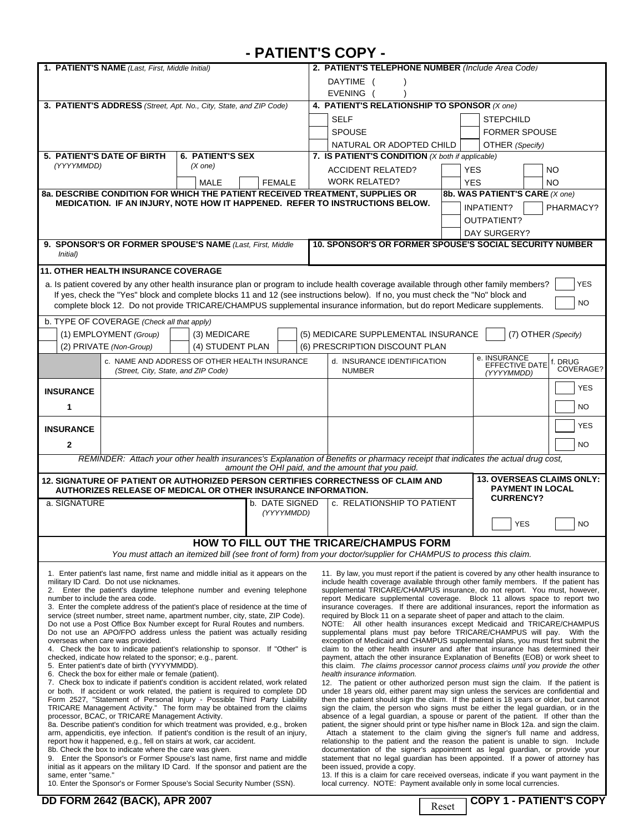# **- PATIENT'S COPY -**

| 1. PATIENT'S NAME (Last, First, Middle Initial)                                                                                                                                                                                                                                                                                                  |                                                                                                                  |                                                                                   |                                                                                                                                                                                                |                                                  | 2. PATIENT'S TELEPHONE NUMBER (Include Area Code)                                                                                                               |                   |                         |                                             |                         |                                  |  |  |
|--------------------------------------------------------------------------------------------------------------------------------------------------------------------------------------------------------------------------------------------------------------------------------------------------------------------------------------------------|------------------------------------------------------------------------------------------------------------------|-----------------------------------------------------------------------------------|------------------------------------------------------------------------------------------------------------------------------------------------------------------------------------------------|--------------------------------------------------|-----------------------------------------------------------------------------------------------------------------------------------------------------------------|-------------------|-------------------------|---------------------------------------------|-------------------------|----------------------------------|--|--|
|                                                                                                                                                                                                                                                                                                                                                  |                                                                                                                  |                                                                                   |                                                                                                                                                                                                |                                                  | DAYTIME (                                                                                                                                                       |                   |                         |                                             |                         |                                  |  |  |
|                                                                                                                                                                                                                                                                                                                                                  |                                                                                                                  |                                                                                   |                                                                                                                                                                                                |                                                  | EVENING (                                                                                                                                                       |                   |                         |                                             |                         |                                  |  |  |
| 3. PATIENT'S ADDRESS (Street, Apt. No., City, State, and ZIP Code)                                                                                                                                                                                                                                                                               |                                                                                                                  |                                                                                   |                                                                                                                                                                                                |                                                  | 4. PATIENT'S RELATIONSHIP TO SPONSOR (X one)                                                                                                                    |                   |                         |                                             |                         |                                  |  |  |
|                                                                                                                                                                                                                                                                                                                                                  |                                                                                                                  |                                                                                   |                                                                                                                                                                                                |                                                  | <b>SELF</b>                                                                                                                                                     |                   |                         | <b>STEPCHILD</b>                            |                         |                                  |  |  |
|                                                                                                                                                                                                                                                                                                                                                  |                                                                                                                  |                                                                                   |                                                                                                                                                                                                |                                                  | <b>SPOUSE</b>                                                                                                                                                   |                   |                         | <b>FORMER SPOUSE</b>                        |                         |                                  |  |  |
|                                                                                                                                                                                                                                                                                                                                                  |                                                                                                                  |                                                                                   |                                                                                                                                                                                                |                                                  | NATURAL OR ADOPTED CHILD                                                                                                                                        |                   |                         | OTHER (Specify)                             |                         |                                  |  |  |
| (YYYYMMDD)                                                                                                                                                                                                                                                                                                                                       | 5. PATIENT'S DATE OF BIRTH                                                                                       | <b>6. PATIENT'S SEX</b><br>$(X \text{ one})$                                      |                                                                                                                                                                                                | 7. IS PATIENT'S CONDITION (X both if applicable) |                                                                                                                                                                 |                   |                         |                                             |                         |                                  |  |  |
|                                                                                                                                                                                                                                                                                                                                                  |                                                                                                                  |                                                                                   | <b>ACCIDENT RELATED?</b>                                                                                                                                                                       |                                                  |                                                                                                                                                                 |                   | <b>YES</b><br><b>NO</b> |                                             |                         |                                  |  |  |
|                                                                                                                                                                                                                                                                                                                                                  |                                                                                                                  | <b>MALE</b>                                                                       | <b>FEMALE</b>                                                                                                                                                                                  |                                                  | <b>WORK RELATED?</b>                                                                                                                                            | <b>YES</b><br>NO. |                         |                                             |                         |                                  |  |  |
|                                                                                                                                                                                                                                                                                                                                                  |                                                                                                                  |                                                                                   | 8a. DESCRIBE CONDITION FOR WHICH THE PATIENT RECEIVED TREATMENT, SUPPLIES OR<br>8b. WAS PATIENT'S CARE (X one)<br>MEDICATION. IF AN INJURY, NOTE HOW IT HAPPENED. REFER TO INSTRUCTIONS BELOW. |                                                  |                                                                                                                                                                 |                   |                         |                                             |                         |                                  |  |  |
|                                                                                                                                                                                                                                                                                                                                                  |                                                                                                                  |                                                                                   |                                                                                                                                                                                                |                                                  | INPATIENT?                                                                                                                                                      |                   |                         |                                             | PHARMACY?               |                                  |  |  |
|                                                                                                                                                                                                                                                                                                                                                  |                                                                                                                  |                                                                                   |                                                                                                                                                                                                |                                                  |                                                                                                                                                                 |                   |                         | <b>OUTPATIENT?</b>                          |                         |                                  |  |  |
|                                                                                                                                                                                                                                                                                                                                                  | 9. SPONSOR'S OR FORMER SPOUSE'S NAME (Last, First, Middle                                                        |                                                                                   |                                                                                                                                                                                                |                                                  | DAY SURGERY?<br>10. SPONSOR'S OR FORMER SPOUSE'S SOCIAL SECURITY NUMBER                                                                                         |                   |                         |                                             |                         |                                  |  |  |
| Initial)                                                                                                                                                                                                                                                                                                                                         |                                                                                                                  |                                                                                   |                                                                                                                                                                                                |                                                  |                                                                                                                                                                 |                   |                         |                                             |                         |                                  |  |  |
|                                                                                                                                                                                                                                                                                                                                                  | <b>11. OTHER HEALTH INSURANCE COVERAGE</b>                                                                       |                                                                                   |                                                                                                                                                                                                |                                                  |                                                                                                                                                                 |                   |                         |                                             |                         |                                  |  |  |
|                                                                                                                                                                                                                                                                                                                                                  |                                                                                                                  |                                                                                   |                                                                                                                                                                                                |                                                  | a. Is patient covered by any other health insurance plan or program to include health coverage available through other family members?                          |                   |                         |                                             |                         | <b>YES</b>                       |  |  |
|                                                                                                                                                                                                                                                                                                                                                  |                                                                                                                  |                                                                                   |                                                                                                                                                                                                |                                                  | If yes, check the "Yes" block and complete blocks 11 and 12 (see instructions below). If no, you must check the "No" block and                                  |                   |                         |                                             |                         |                                  |  |  |
|                                                                                                                                                                                                                                                                                                                                                  |                                                                                                                  |                                                                                   |                                                                                                                                                                                                |                                                  | complete block 12. Do not provide TRICARE/CHAMPUS supplemental insurance information, but do report Medicare supplements.                                       |                   |                         |                                             |                         | <b>NO</b>                        |  |  |
|                                                                                                                                                                                                                                                                                                                                                  | b. TYPE OF COVERAGE (Check all that apply)                                                                       |                                                                                   |                                                                                                                                                                                                |                                                  |                                                                                                                                                                 |                   |                         |                                             |                         |                                  |  |  |
|                                                                                                                                                                                                                                                                                                                                                  | (1) EMPLOYMENT (Group)                                                                                           | (3) MEDICARE                                                                      |                                                                                                                                                                                                |                                                  | (5) MEDICARE SUPPLEMENTAL INSURANCE                                                                                                                             |                   |                         |                                             |                         | (7) OTHER (Specify)              |  |  |
|                                                                                                                                                                                                                                                                                                                                                  | (2) PRIVATE (Non-Group)                                                                                          | (4) STUDENT PLAN                                                                  |                                                                                                                                                                                                |                                                  | (6) PRESCRIPTION DISCOUNT PLAN                                                                                                                                  |                   |                         |                                             |                         |                                  |  |  |
|                                                                                                                                                                                                                                                                                                                                                  | c. NAME AND ADDRESS OF OTHER HEALTH INSURANCE                                                                    |                                                                                   |                                                                                                                                                                                                |                                                  | d. INSURANCE IDENTIFICATION                                                                                                                                     |                   |                         | e. INSURANCE<br><b>EFFECTIVE DATE</b>       |                         | f. DRUG                          |  |  |
|                                                                                                                                                                                                                                                                                                                                                  | (Street, City, State, and ZIP Code)                                                                              |                                                                                   |                                                                                                                                                                                                |                                                  | <b>NUMBER</b>                                                                                                                                                   |                   |                         | (YYYYMMDD)                                  |                         | COVERAGE?                        |  |  |
| <b>INSURANCE</b>                                                                                                                                                                                                                                                                                                                                 |                                                                                                                  |                                                                                   |                                                                                                                                                                                                |                                                  |                                                                                                                                                                 |                   |                         |                                             |                         | <b>YES</b>                       |  |  |
|                                                                                                                                                                                                                                                                                                                                                  |                                                                                                                  |                                                                                   |                                                                                                                                                                                                |                                                  |                                                                                                                                                                 |                   |                         |                                             |                         |                                  |  |  |
| 1                                                                                                                                                                                                                                                                                                                                                |                                                                                                                  |                                                                                   |                                                                                                                                                                                                |                                                  |                                                                                                                                                                 |                   |                         |                                             |                         | NO.                              |  |  |
| <b>INSURANCE</b>                                                                                                                                                                                                                                                                                                                                 |                                                                                                                  |                                                                                   |                                                                                                                                                                                                |                                                  |                                                                                                                                                                 |                   |                         |                                             |                         | YES                              |  |  |
| $\mathbf{2}$                                                                                                                                                                                                                                                                                                                                     |                                                                                                                  |                                                                                   |                                                                                                                                                                                                |                                                  |                                                                                                                                                                 |                   |                         |                                             |                         | <b>NO</b>                        |  |  |
|                                                                                                                                                                                                                                                                                                                                                  |                                                                                                                  |                                                                                   |                                                                                                                                                                                                |                                                  | REMINDER: Attach your other health insurances's Explanation of Benefits or pharmacy receipt that indicates the actual drug cost,                                |                   |                         |                                             |                         |                                  |  |  |
|                                                                                                                                                                                                                                                                                                                                                  |                                                                                                                  |                                                                                   |                                                                                                                                                                                                |                                                  | amount the OHI paid, and the amount that you paid.                                                                                                              |                   |                         |                                             |                         |                                  |  |  |
|                                                                                                                                                                                                                                                                                                                                                  |                                                                                                                  |                                                                                   |                                                                                                                                                                                                |                                                  | 12. SIGNATURE OF PATIENT OR AUTHORIZED PERSON CERTIFIES CORRECTNESS OF CLAIM AND                                                                                |                   |                         |                                             |                         | <b>13. OVERSEAS CLAIMS ONLY:</b> |  |  |
| AUTHORIZES RELEASE OF MEDICAL OR OTHER INSURANCE INFORMATION.                                                                                                                                                                                                                                                                                    |                                                                                                                  |                                                                                   |                                                                                                                                                                                                |                                                  |                                                                                                                                                                 |                   |                         | <b>PAYMENT IN LOCAL</b><br><b>CURRENCY?</b> |                         |                                  |  |  |
| a. SIGNATURE<br>b. DATE SIGNED                                                                                                                                                                                                                                                                                                                   |                                                                                                                  |                                                                                   |                                                                                                                                                                                                |                                                  | c. RELATIONSHIP TO PATIENT                                                                                                                                      |                   |                         |                                             |                         |                                  |  |  |
| (YYYYMMDD)                                                                                                                                                                                                                                                                                                                                       |                                                                                                                  |                                                                                   |                                                                                                                                                                                                |                                                  |                                                                                                                                                                 |                   |                         |                                             | <b>YES</b><br><b>NO</b> |                                  |  |  |
|                                                                                                                                                                                                                                                                                                                                                  |                                                                                                                  |                                                                                   |                                                                                                                                                                                                |                                                  |                                                                                                                                                                 |                   |                         |                                             |                         |                                  |  |  |
|                                                                                                                                                                                                                                                                                                                                                  |                                                                                                                  |                                                                                   |                                                                                                                                                                                                |                                                  | HOW TO FILL OUT THE TRICARE/CHAMPUS FORM                                                                                                                        |                   |                         |                                             |                         |                                  |  |  |
|                                                                                                                                                                                                                                                                                                                                                  |                                                                                                                  |                                                                                   |                                                                                                                                                                                                |                                                  | You must attach an itemized bill (see front of form) from your doctor/supplier for CHAMPUS to process this claim.                                               |                   |                         |                                             |                         |                                  |  |  |
|                                                                                                                                                                                                                                                                                                                                                  | 1. Enter patient's last name, first name and middle initial as it appears on the                                 |                                                                                   |                                                                                                                                                                                                |                                                  | 11. By law, you must report if the patient is covered by any other health insurance to                                                                          |                   |                         |                                             |                         |                                  |  |  |
|                                                                                                                                                                                                                                                                                                                                                  | military ID Card. Do not use nicknames.<br>2. Enter the patient's daytime telephone number and evening telephone |                                                                                   |                                                                                                                                                                                                |                                                  | include health coverage available through other family members. If the patient has<br>supplemental TRICARE/CHAMPUS insurance, do not report. You must, however, |                   |                         |                                             |                         |                                  |  |  |
| number to include the area code.                                                                                                                                                                                                                                                                                                                 |                                                                                                                  |                                                                                   |                                                                                                                                                                                                |                                                  | report Medicare supplemental coverage. Block 11 allows space to report two                                                                                      |                   |                         |                                             |                         |                                  |  |  |
| 3. Enter the complete address of the patient's place of residence at the time of<br>insurance coverages. If there are additional insurances, report the information as<br>service (street number, street name, apartment number, city, state, ZIP Code).<br>required by Block 11 on a separate sheet of paper and attach to the claim.           |                                                                                                                  |                                                                                   |                                                                                                                                                                                                |                                                  |                                                                                                                                                                 |                   |                         |                                             |                         |                                  |  |  |
| Do not use a Post Office Box Number except for Rural Routes and numbers.<br>NOTE: All other health insurances except Medicaid and TRICARE/CHAMPUS                                                                                                                                                                                                |                                                                                                                  |                                                                                   |                                                                                                                                                                                                |                                                  |                                                                                                                                                                 |                   |                         |                                             |                         |                                  |  |  |
| Do not use an APO/FPO address unless the patient was actually residing<br>supplemental plans must pay before TRICARE/CHAMPUS will pay. With the<br>overseas when care was provided.<br>exception of Medicaid and CHAMPUS supplemental plans, you must first submit the                                                                           |                                                                                                                  |                                                                                   |                                                                                                                                                                                                |                                                  |                                                                                                                                                                 |                   |                         |                                             |                         |                                  |  |  |
| 4. Check the box to indicate patient's relationship to sponsor. If "Other" is<br>claim to the other health insurer and after that insurance has determined their                                                                                                                                                                                 |                                                                                                                  |                                                                                   |                                                                                                                                                                                                |                                                  |                                                                                                                                                                 |                   |                         |                                             |                         |                                  |  |  |
| checked, indicate how related to the sponsor; e.g., parent.<br>payment, attach the other insurance Explanation of Benefits (EOB) or work sheet to<br>5. Enter patient's date of birth (YYYYMMDD).<br>this claim. The claims processor cannot process claims until you provide the other                                                          |                                                                                                                  |                                                                                   |                                                                                                                                                                                                |                                                  |                                                                                                                                                                 |                   |                         |                                             |                         |                                  |  |  |
| 6. Check the box for either male or female (patient).<br>health insurance information.                                                                                                                                                                                                                                                           |                                                                                                                  |                                                                                   |                                                                                                                                                                                                |                                                  |                                                                                                                                                                 |                   |                         |                                             |                         |                                  |  |  |
| 7. Check box to indicate if patient's condition is accident related, work related<br>12. The patient or other authorized person must sign the claim. If the patient is<br>or both. If accident or work related, the patient is required to complete DD<br>under 18 years old, either parent may sign unless the services are confidential and    |                                                                                                                  |                                                                                   |                                                                                                                                                                                                |                                                  |                                                                                                                                                                 |                   |                         |                                             |                         |                                  |  |  |
| Form 2527, "Statement of Personal Injury - Possible Third Party Liability<br>then the patient should sign the claim. If the patient is 18 years or older, but cannot<br>TRICARE Management Activity." The form may be obtained from the claims<br>sign the claim, the person who signs must be either the legal guardian, or in the              |                                                                                                                  |                                                                                   |                                                                                                                                                                                                |                                                  |                                                                                                                                                                 |                   |                         |                                             |                         |                                  |  |  |
|                                                                                                                                                                                                                                                                                                                                                  | processor, BCAC, or TRICARE Management Activity.                                                                 | absence of a legal guardian, a spouse or parent of the patient. If other than the |                                                                                                                                                                                                |                                                  |                                                                                                                                                                 |                   |                         |                                             |                         |                                  |  |  |
| 8a. Describe patient's condition for which treatment was provided, e.g., broken<br>patient, the signer should print or type his/her name in Block 12a. and sign the claim.<br>arm, appendicitis, eye infection. If patient's condition is the result of an injury,<br>Attach a statement to the claim giving the signer's full name and address, |                                                                                                                  |                                                                                   |                                                                                                                                                                                                |                                                  |                                                                                                                                                                 |                   |                         |                                             |                         |                                  |  |  |
|                                                                                                                                                                                                                                                                                                                                                  | report how it happened, e.g., fell on stairs at work, car accident.                                              |                                                                                   | relationship to the patient and the reason the patient is unable to sign. Include                                                                                                              |                                                  |                                                                                                                                                                 |                   |                         |                                             |                         |                                  |  |  |
| 8b. Check the box to indicate where the care was given.<br>documentation of the signer's appointment as legal guardian, or provide your<br>9. Enter the Sponsor's or Former Spouse's last name, first name and middle<br>statement that no legal guardian has been appointed. If a power of attorney has                                         |                                                                                                                  |                                                                                   |                                                                                                                                                                                                |                                                  |                                                                                                                                                                 |                   |                         |                                             |                         |                                  |  |  |
| initial as it appears on the military ID Card. If the sponsor and patient are the<br>been issued, provide a copy.                                                                                                                                                                                                                                |                                                                                                                  |                                                                                   |                                                                                                                                                                                                |                                                  |                                                                                                                                                                 |                   |                         |                                             |                         |                                  |  |  |
| same, enter "same."                                                                                                                                                                                                                                                                                                                              |                                                                                                                  |                                                                                   |                                                                                                                                                                                                |                                                  |                                                                                                                                                                 |                   |                         |                                             |                         |                                  |  |  |
| 13. If this is a claim for care received overseas, indicate if you want payment in the<br>10. Enter the Sponsor's or Former Spouse's Social Security Number (SSN).<br>local currency. NOTE: Payment available only in some local currencies.                                                                                                     |                                                                                                                  |                                                                                   |                                                                                                                                                                                                |                                                  |                                                                                                                                                                 |                   |                         |                                             |                         |                                  |  |  |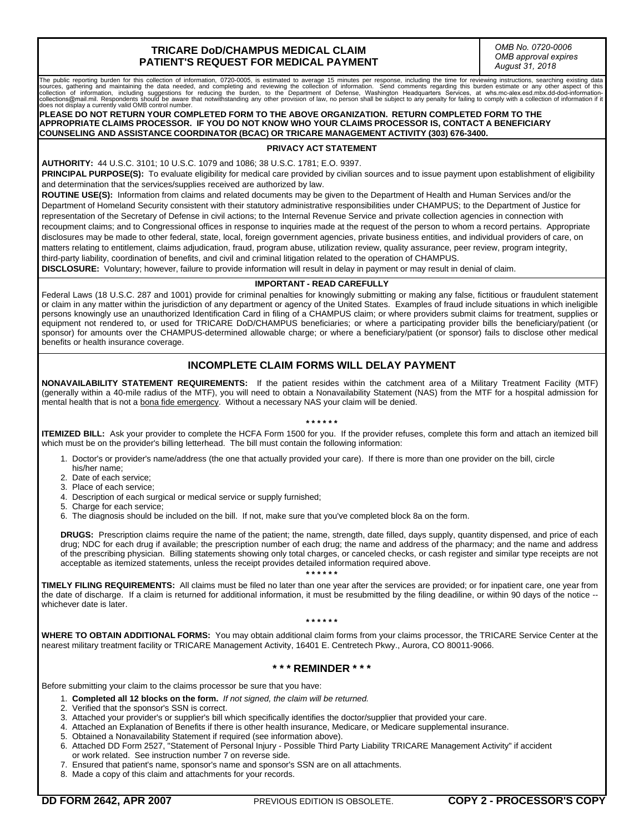### **TRICARE DoD/CHAMPUS MEDICAL CLAIM PATIENT'S REQUEST FOR MEDICAL PAYMENT**

*OMB No. 0720-0006 OMB approval expires August 31, 2018*

**PRIVACY ACT STATEMENT AUTHORITY:** 44 U.S.C. 3101; 10 U.S.C. 1079 and 1086; 38 U.S.C. 1781; E.O. 9397. PRINCIPAL PURPOSE(S): To evaluate eligibility for medical care provided by civilian sources and to issue payment upon establishment of eligibility and determination that the services/supplies received are authorized by law. **ROUTINE USE(S):** Information from claims and related documents may be given to the Department of Health and Human Services and/or the Department of Homeland Security consistent with their statutory administrative responsibilities under CHAMPUS; to the Department of Justice for representation of the Secretary of Defense in civil actions; to the Internal Revenue Service and private collection agencies in connection with recoupment claims; and to Congressional offices in response to inquiries made at the request of the person to whom a record pertains. Appropriate disclosures may be made to other federal, state, local, foreign government agencies, private business entities, and individual providers of care, on matters relating to entitlement, claims adjudication, fraud, program abuse, utilization review, quality assurance, peer review, program integrity, third-party liability, coordination of benefits, and civil and criminal litigation related to the operation of CHAMPUS. **DISCLOSURE:** Voluntary; however, failure to provide information will result in delay in payment or may result in denial of claim. **IMPORTANT - READ CAREFULLY** Federal Laws (18 U.S.C. 287 and 1001) provide for criminal penalties for knowingly submitting or making any false, fictitious or fraudulent statement or claim in any matter within the jurisdiction of any department or agency of the United States. Examples of fraud include situations in which ineligible persons knowingly use an unauthorized Identification Card in filing of a CHAMPUS claim; or where providers submit claims for treatment, supplies or equipment not rendered to, or used for TRICARE DoD/CHAMPUS beneficiaries; or where a participating provider bills the beneficiary/patient (or The public reporting burden for this collection of information, 0720-0005, is estimated to average 15 minutes per response, including the time for reviewing instructions, searching existing data<br>sources, gathering and main does not display a currently valid OMB control number. **PLEASE DO NOT RETURN YOUR COMPLETED FORM TO THE ABOVE ORGANIZATION. RETURN COMPLETED FORM TO THE APPROPRIATE CLAIMS PROCESSOR. IF YOU DO NOT KNOW WHO YOUR CLAIMS PROCESSOR IS, CONTACT A BENEFICIARY COUNSELING AND ASSISTANCE COORDINATOR (BCAC) OR TRICARE MANAGEMENT ACTIVITY (303) 676-3400.**

## **INCOMPLETE CLAIM FORMS WILL DELAY PAYMENT**

sponsor) for amounts over the CHAMPUS-determined allowable charge; or where a beneficiary/patient (or sponsor) fails to disclose other medical

**NONAVAILABILITY STATEMENT REQUIREMENTS:** If the patient resides within the catchment area of a Military Treatment Facility (MTF) (generally within a 40-mile radius of the MTF), you will need to obtain a Nonavailability Statement (NAS) from the MTF for a hospital admission for mental health that is not a bona fide emergency. Without a necessary NAS your claim will be denied.

### **\* \* \* \* \* \***

**ITEMIZED BILL:** Ask your provider to complete the HCFA Form 1500 for you. If the provider refuses, complete this form and attach an itemized bill which must be on the provider's billing letterhead. The bill must contain the following information:

- 1. Doctor's or provider's name/address (the one that actually provided your care). If there is more than one provider on the bill, circle his/her name;
- 2. Date of each service;

benefits or health insurance coverage.

- 3. Place of each service;
- 4. Description of each surgical or medical service or supply furnished;
- 5. Charge for each service;
- 6. The diagnosis should be included on the bill. If not, make sure that you've completed block 8a on the form.

**DRUGS:** Prescription claims require the name of the patient; the name, strength, date filled, days supply, quantity dispensed, and price of each drug; NDC for each drug if available; the prescription number of each drug; the name and address of the pharmacy; and the name and address of the prescribing physician. Billing statements showing only total charges, or canceled checks, or cash register and similar type receipts are not acceptable as itemized statements, unless the receipt provides detailed information required above.

**\* \* \* \* \* \* TIMELY FILING REQUIREMENTS:** All claims must be filed no later than one year after the services are provided; or for inpatient care, one year from the date of discharge. If a claim is returned for additional information, it must be resubmitted by the filing deadiline, or within 90 days of the notice -whichever date is later.

#### **\* \* \* \* \* \***

**WHERE TO OBTAIN ADDITIONAL FORMS:** You may obtain additional claim forms from your claims processor, the TRICARE Service Center at the nearest military treatment facility or TRICARE Management Activity, 16401 E. Centretech Pkwy., Aurora, CO 80011-9066.

### **\* \* \* REMINDER \* \* \***

Before submitting your claim to the claims processor be sure that you have:

- 1. **Completed all 12 blocks on the form.** *If not signed, the claim will be returned.*
- 2. Verified that the sponsor's SSN is correct.
- 3. Attached your provider's or supplier's bill which specifically identifies the doctor/supplier that provided your care.
- 4. Attached an Explanation of Benefits if there is other health insurance, Medicare, or Medicare supplemental insurance.
- 5. Obtained a Nonavailability Statement if required (see information above).
- 6. Attached DD Form 2527, "Statement of Personal Injury Possible Third Party Liability TRICARE Management Activity" if accident or work related. See instruction number 7 on reverse side.
- 7. Ensured that patient's name, sponsor's name and sponsor's SSN are on all attachments.
- 8. Made a copy of this claim and attachments for your records.